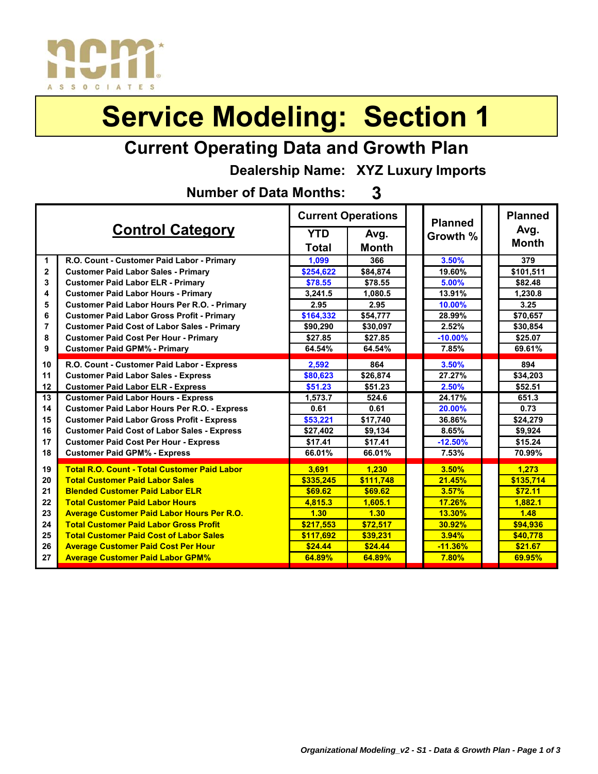

### **Current Operating Data and Growth Plan**

**Dealership Name: XYZ Luxury Imports**

**3 Number of Data Months:**

|                |                                                     |            | <b>Current Operations</b> |  | <b>Planned</b> | <b>Planned</b> |
|----------------|-----------------------------------------------------|------------|---------------------------|--|----------------|----------------|
|                | <b>Control Category</b>                             | <b>YTD</b> | Avg.                      |  | Growth %       | Avg.           |
|                |                                                     | Total      | <b>Month</b>              |  |                | <b>Month</b>   |
| 1              | R.O. Count - Customer Paid Labor - Primary          | 1,099      | 366                       |  | 3.50%          | 379            |
| $\mathbf 2$    | <b>Customer Paid Labor Sales - Primary</b>          | \$254,622  | \$84,874                  |  | 19.60%         | \$101,511      |
| 3              | <b>Customer Paid Labor ELR - Primary</b>            | \$78.55    | \$78.55                   |  | 5.00%          | \$82.48        |
| 4              | <b>Customer Paid Labor Hours - Primary</b>          | 3,241.5    | 1.080.5                   |  | 13.91%         | 1.230.8        |
| 5              | <b>Customer Paid Labor Hours Per R.O. - Primary</b> | 2.95       | 2.95                      |  | 10.00%         | 3.25           |
| 6              | <b>Customer Paid Labor Gross Profit - Primary</b>   | \$164,332  | \$54,777                  |  | 28.99%         | \$70,657       |
| $\overline{7}$ | <b>Customer Paid Cost of Labor Sales - Primary</b>  | \$90,290   | \$30,097                  |  | 2.52%          | \$30,854       |
| 8              | <b>Customer Paid Cost Per Hour - Primary</b>        | \$27.85    | \$27.85                   |  | $-10.00%$      | \$25.07        |
| 9              | <b>Customer Paid GPM% - Primary</b>                 | 64.54%     | 64.54%                    |  | 7.85%          | 69.61%         |
| 10             | R.O. Count - Customer Paid Labor - Express          | 2,592      | 864                       |  | 3.50%          | 894            |
| 11             | <b>Customer Paid Labor Sales - Express</b>          | \$80,623   | \$26,874                  |  | 27.27%         | \$34,203       |
| 12             | <b>Customer Paid Labor ELR - Express</b>            | \$51.23    | \$51.23                   |  | 2.50%          | \$52.51        |
| 13             | <b>Customer Paid Labor Hours - Express</b>          | 1,573.7    | 524.6                     |  | 24.17%         | 651.3          |
| 14             | <b>Customer Paid Labor Hours Per R.O. - Express</b> | 0.61       | 0.61                      |  | 20.00%         | 0.73           |
| 15             | <b>Customer Paid Labor Gross Profit - Express</b>   | \$53,221   | \$17,740                  |  | 36.86%         | \$24,279       |
| 16             | <b>Customer Paid Cost of Labor Sales - Express</b>  | \$27,402   | \$9,134                   |  | 8.65%          | \$9,924        |
| 17             | <b>Customer Paid Cost Per Hour - Express</b>        | \$17.41    | \$17.41                   |  | $-12.50%$      | \$15.24        |
| 18             | <b>Customer Paid GPM% - Express</b>                 | 66.01%     | 66.01%                    |  | 7.53%          | 70.99%         |
| 19             | <b>Total R.O. Count - Total Customer Paid Labor</b> | 3.691      | 1.230                     |  | 3.50%          | 1.273          |
| 20             | <b>Total Customer Paid Labor Sales</b>              | \$335.245  | \$111,748                 |  | 21.45%         | \$135,714      |
| 21             | <b>Blended Customer Paid Labor ELR</b>              | \$69.62    | \$69.62                   |  | 3.57%          | \$72.11        |
| 22             | <b>Total Customer Paid Labor Hours</b>              | 4.815.3    | 1.605.1                   |  | 17.26%         | 1.882.1        |
| 23             | <b>Average Customer Paid Labor Hours Per R.O.</b>   | 1.30       | 1.30                      |  | 13.30%         | 1.48           |
| 24             | <b>Total Customer Paid Labor Gross Profit</b>       | \$217.553  | \$72.517                  |  | 30.92%         | \$94.936       |
| 25             | <b>Total Customer Paid Cost of Labor Sales</b>      | \$117.692  | \$39,231                  |  | 3.94%          | \$40.778       |
| 26             | <b>Average Customer Paid Cost Per Hour</b>          | \$24.44    | \$24.44                   |  | $-11.36%$      | \$21.67        |
| 27             | <b>Average Customer Paid Labor GPM%</b>             | 64.89%     | 64.89%                    |  | 7.80%          | 69.95%         |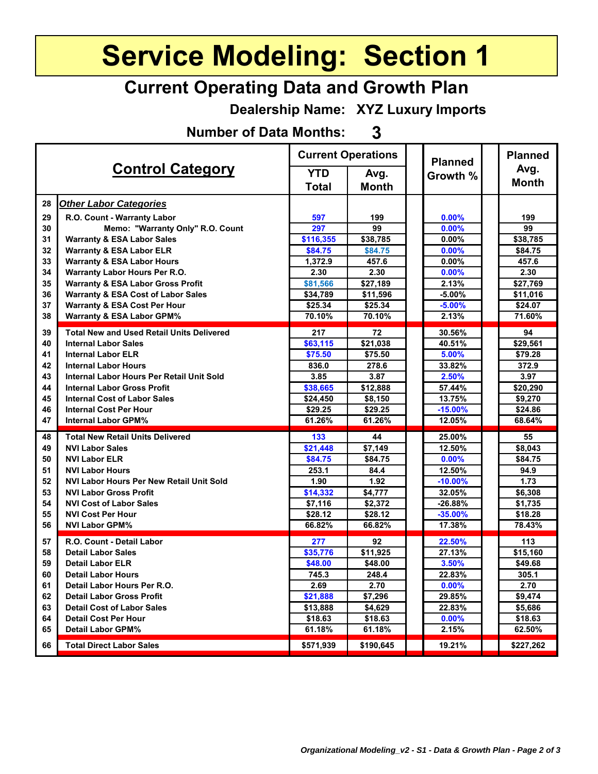#### **Current Operating Data and Growth Plan**

**Dealership Name: XYZ Luxury Imports**

**Number of Data Months: 3**

|    |                                                  | <b>Current Operations</b> |              | <b>Planned</b> |  | <b>Planned</b>      |
|----|--------------------------------------------------|---------------------------|--------------|----------------|--|---------------------|
|    | <b>Control Category</b>                          | <b>YTD</b>                | Avg.         | Growth %       |  | Avg.                |
|    |                                                  | <b>Total</b>              | <b>Month</b> |                |  | <b>Month</b>        |
| 28 | <b>Other Labor Categories</b>                    |                           |              |                |  |                     |
| 29 | R.O. Count - Warranty Labor                      | 597                       | 199          | 0.00%          |  | 199                 |
| 30 | Memo: "Warranty Only" R.O. Count                 | 297                       | 99           | 0.00%          |  | 99                  |
| 31 | <b>Warranty &amp; ESA Labor Sales</b>            | \$116,355                 | \$38,785     | $0.00\%$       |  | \$38,785            |
| 32 | <b>Warranty &amp; ESA Labor ELR</b>              | \$84.75                   | \$84.75      | 0.00%          |  | \$84.75             |
| 33 | <b>Warranty &amp; ESA Labor Hours</b>            | 1,372.9                   | 457.6        | $0.00\%$       |  | 457.6               |
| 34 | <b>Warranty Labor Hours Per R.O.</b>             | 2.30                      | 2.30         | 0.00%          |  | 2.30                |
| 35 | <b>Warranty &amp; ESA Labor Gross Profit</b>     | \$81,566                  | \$27,189     | 2.13%          |  | \$27,769            |
| 36 | <b>Warranty &amp; ESA Cost of Labor Sales</b>    | \$34,789                  | \$11,596     | $-5.00%$       |  | \$11,016            |
| 37 | <b>Warranty &amp; ESA Cost Per Hour</b>          | \$25.34                   | \$25.34      | $-5.00%$       |  | \$24.07             |
| 38 | <b>Warranty &amp; ESA Labor GPM%</b>             | 70.10%                    | 70.10%       | 2.13%          |  | 71.60%              |
| 39 | <b>Total New and Used Retail Units Delivered</b> | 217                       | 72           | 30.56%         |  | 94                  |
| 40 | <b>Internal Labor Sales</b>                      | \$63,115                  | \$21,038     | 40.51%         |  | \$29,561            |
| 41 | <b>Internal Labor ELR</b>                        | \$75.50                   | \$75.50      | 5.00%          |  | \$79.28             |
| 42 | <b>Internal Labor Hours</b>                      | 836.0                     | 278.6        | 33.82%         |  | 372.9               |
| 43 | Internal Labor Hours Per Retail Unit Sold        | 3.85                      | 3.87         | 2.50%          |  | 3.97                |
| 44 | <b>Internal Labor Gross Profit</b>               | \$38,665                  | \$12,888     | 57.44%         |  | \$20,290            |
| 45 | <b>Internal Cost of Labor Sales</b>              | \$24,450                  | \$8,150      | 13.75%         |  | \$9,270             |
| 46 | <b>Internal Cost Per Hour</b>                    | \$29.25                   | \$29.25      | $-15.00%$      |  | \$24.86             |
| 47 | <b>Internal Labor GPM%</b>                       | 61.26%                    | 61.26%       | 12.05%         |  | 68.64%              |
| 48 | <b>Total New Retail Units Delivered</b>          | 133                       | 44           | 25.00%         |  | 55                  |
| 49 | <b>NVI Labor Sales</b>                           | \$21,448                  | \$7,149      | 12.50%         |  | $\overline{$8,043}$ |
| 50 | <b>NVI Labor ELR</b>                             | \$84.75                   | \$84.75      | 0.00%          |  | \$84.75             |
| 51 | <b>NVI Labor Hours</b>                           | 253.1                     | 84.4         | 12.50%         |  | 94.9                |
| 52 | <b>NVI Labor Hours Per New Retail Unit Sold</b>  | 1.90                      | 1.92         | $-10.00%$      |  | 1.73                |
| 53 | <b>NVI Labor Gross Profit</b>                    | \$14,332                  | \$4,777      | 32.05%         |  | \$6,308             |
| 54 | <b>NVI Cost of Labor Sales</b>                   | \$7,116                   | \$2,372      | $-26.88%$      |  | \$1,735             |
| 55 | <b>NVI Cost Per Hour</b>                         | \$28.12                   | \$28.12      | $-35.00\%$     |  | \$18.28             |
| 56 | <b>NVI Labor GPM%</b>                            | 66.82%                    | 66.82%       | 17.38%         |  | 78.43%              |
| 57 | R.O. Count - Detail Labor                        | 277                       | 92           | 22.50%         |  | 113                 |
| 58 | <b>Detail Labor Sales</b>                        | \$35,776                  | \$11,925     | 27.13%         |  | \$15,160            |
| 59 | <b>Detail Labor ELR</b>                          | \$48.00                   | \$48.00      | 3.50%          |  | \$49.68             |
| 60 | <b>Detail Labor Hours</b>                        | 745.3                     | 248.4        | 22.83%         |  | 305.1               |
| 61 | Detail Labor Hours Per R.O.                      | 2.69                      | 2.70         | 0.00%          |  | 2.70                |
| 62 | <b>Detail Labor Gross Profit</b>                 | \$21,888                  | \$7,296      | 29.85%         |  | \$9,474             |
| 63 | <b>Detail Cost of Labor Sales</b>                | \$13,888                  | \$4,629      | 22.83%         |  | \$5,686             |
| 64 | <b>Detail Cost Per Hour</b>                      | \$18.63                   | \$18.63      | $0.00\%$       |  | \$18.63             |
| 65 | <b>Detail Labor GPM%</b>                         | 61.18%                    | 61.18%       | 2.15%          |  | 62.50%              |
| 66 | <b>Total Direct Labor Sales</b>                  | \$571,939                 | \$190,645    | 19.21%         |  | \$227,262           |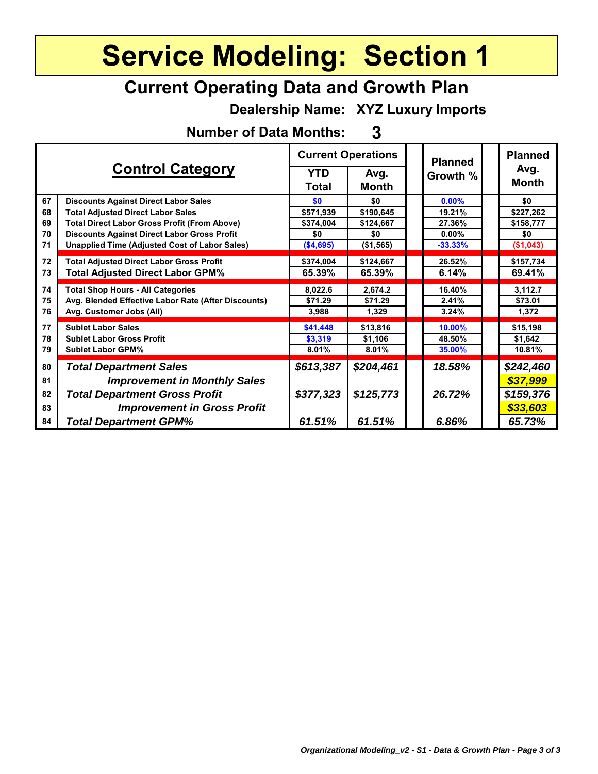#### **Current Operating Data and Growth Plan**

**Dealership Name: XYZ Luxury Imports**

**Number of Data Months: 3**

| <b>Control Category</b> |                                                      | <b>Current Operations</b>  |                      |  | <b>Planned</b> | <b>Planned</b>       |
|-------------------------|------------------------------------------------------|----------------------------|----------------------|--|----------------|----------------------|
|                         |                                                      | <b>YTD</b><br><b>Total</b> | Avg.<br><b>Month</b> |  | Growth %       | Avg.<br><b>Month</b> |
| 67                      | <b>Discounts Against Direct Labor Sales</b>          | \$0                        | \$0                  |  | 0.00%          | \$0                  |
| 68                      | <b>Total Adjusted Direct Labor Sales</b>             | \$571,939                  | \$190,645            |  | 19.21%         | \$227,262            |
| 69                      | <b>Total Direct Labor Gross Profit (From Above)</b>  | \$374,004                  | \$124,667            |  | 27.36%         | \$158,777            |
| 70                      | <b>Discounts Against Direct Labor Gross Profit</b>   | \$0                        | \$0                  |  | $0.00\%$       | \$0                  |
| 71                      | <b>Unapplied Time (Adjusted Cost of Labor Sales)</b> | (\$4,695)                  | (\$1,565)            |  | $-33.33%$      | (\$1,043)            |
| 72                      | <b>Total Adjusted Direct Labor Gross Profit</b>      | \$374,004                  | \$124,667            |  | 26.52%         | \$157,734            |
| 73                      | <b>Total Adjusted Direct Labor GPM%</b>              | 65.39%                     | 65.39%               |  | 6.14%          | 69.41%               |
| 74                      | <b>Total Shop Hours - All Categories</b>             | 8,022.6                    | 2,674.2              |  | 16.40%         | 3,112.7              |
| 75                      | Avg. Blended Effective Labor Rate (After Discounts)  | \$71.29                    | \$71.29              |  | 2.41%          | \$73.01              |
| 76                      | Avg. Customer Jobs (All)                             | 3,988                      | 1,329                |  | 3.24%          | 1,372                |
| 77                      | <b>Sublet Labor Sales</b>                            | \$41,448                   | \$13,816             |  | 10.00%         | \$15,198             |
| 78                      | <b>Sublet Labor Gross Profit</b>                     | \$3,319                    | \$1,106              |  | 48.50%         | \$1,642              |
| 79                      | <b>Sublet Labor GPM%</b>                             | 8.01%                      | 8.01%                |  | 35.00%         | 10.81%               |
| 80                      | <b>Total Department Sales</b>                        | \$613,387                  | \$204,461            |  | 18.58%         | \$242,460            |
| 81                      | <b>Improvement in Monthly Sales</b>                  |                            |                      |  |                | \$37,999             |
| 82                      | <b>Total Department Gross Profit</b>                 | \$377,323                  | \$125,773            |  | 26.72%         | \$159,376            |
| 83                      | <b>Improvement in Gross Profit</b>                   |                            |                      |  |                | \$33,603             |
| 84                      | <b>Total Department GPM%</b>                         | 61.51%                     | 61.51%               |  | 6.86%          | 65.73%               |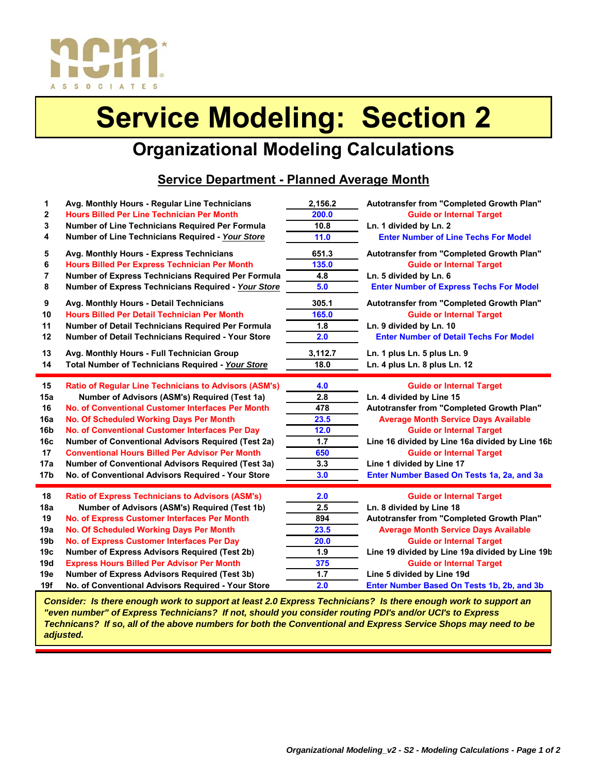

#### **Organizational Modeling Calculations**

#### **Service Department - Planned Average Month**

| Avg. Monthly Hours - Express Technicians<br><b>Hours Billed Per Express Technician Per Month</b><br>Number of Express Technicians Required Per Formula<br>Number of Express Technicians Required - Your Store<br>Avg. Monthly Hours - Detail Technicians<br><b>Hours Billed Per Detail Technician Per Month</b><br>Number of Detail Technicians Required Per Formula<br>Number of Detail Technicians Required - Your Store                                                                                 | 651.3<br>135.0<br>4.8<br>5.0<br>305.1<br>165.0<br>1.8<br>2.0  | Autotransfer from "Completed Growth Plan"<br><b>Guide or Internal Target</b><br>Ln. 5 divided by Ln. 6<br><b>Enter Number of Express Techs For Model</b><br>Autotransfer from "Completed Growth Plan"<br><b>Guide or Internal Target</b><br>Ln. 9 divided by Ln. 10<br><b>Enter Number of Detail Techs For Model</b>                                        |
|------------------------------------------------------------------------------------------------------------------------------------------------------------------------------------------------------------------------------------------------------------------------------------------------------------------------------------------------------------------------------------------------------------------------------------------------------------------------------------------------------------|---------------------------------------------------------------|-------------------------------------------------------------------------------------------------------------------------------------------------------------------------------------------------------------------------------------------------------------------------------------------------------------------------------------------------------------|
|                                                                                                                                                                                                                                                                                                                                                                                                                                                                                                            |                                                               |                                                                                                                                                                                                                                                                                                                                                             |
|                                                                                                                                                                                                                                                                                                                                                                                                                                                                                                            |                                                               |                                                                                                                                                                                                                                                                                                                                                             |
| Avg. Monthly Hours - Full Technician Group<br>Total Number of Technicians Required - Your Store                                                                                                                                                                                                                                                                                                                                                                                                            | 3,112.7<br>18.0                                               | Ln. 1 plus Ln. 5 plus Ln. 9<br>Ln. 4 plus Ln. 8 plus Ln. 12                                                                                                                                                                                                                                                                                                 |
| <b>Ratio of Regular Line Technicians to Advisors (ASM's)</b><br>Number of Advisors (ASM's) Required (Test 1a)<br>No. of Conventional Customer Interfaces Per Month<br>No. Of Scheduled Working Days Per Month<br>No. of Conventional Customer Interfaces Per Day<br><b>Number of Conventional Advisors Required (Test 2a)</b><br><b>Conventional Hours Billed Per Advisor Per Month</b><br><b>Number of Conventional Advisors Required (Test 3a)</b><br>No. of Conventional Advisors Required - Your Store | 4.0<br>2.8<br>478<br>23.5<br>12.0<br>1.7<br>650<br>3.3<br>3.0 | <b>Guide or Internal Target</b><br>Ln. 4 divided by Line 15<br>Autotransfer from "Completed Growth Plan"<br><b>Average Month Service Days Available</b><br><b>Guide or Internal Target</b><br>Line 16 divided by Line 16a divided by Line 16b<br><b>Guide or Internal Target</b><br>Line 1 divided by Line 17<br>Enter Number Based On Tests 1a, 2a, and 3a |
|                                                                                                                                                                                                                                                                                                                                                                                                                                                                                                            | 2.0<br>2.5                                                    | <b>Guide or Internal Target</b><br>Ln. 8 divided by Line 18<br>Autotransfer from "Completed Growth Plan"                                                                                                                                                                                                                                                    |
| <b>Ratio of Express Technicians to Advisors (ASM's)</b>                                                                                                                                                                                                                                                                                                                                                                                                                                                    |                                                               | Number of Advisors (ASM's) Required (Test 1b)<br>No. of Express Customer Interfaces Per Month<br>894                                                                                                                                                                                                                                                        |

*Consider: Is there enough work to support at least 2.0 Express Technicians? Is there enough work to support an "even number" of Express Technicians? If not, should you consider routing PDI's and/or UCI's to Express Technicans? If so, all of the above numbers for both the Conventional and Express Service Shops may need to be adjusted.*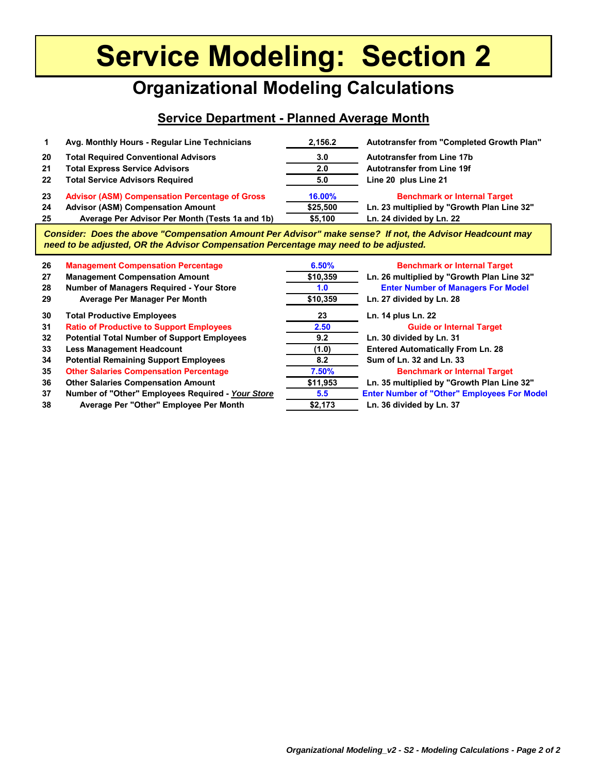#### **Organizational Modeling Calculations**

#### **Service Department - Planned Average Month**

|    | Avg. Monthly Hours - Regular Line Technicians         | 2.156.2       | Autotransfer from "Completed Growth Plan"  |
|----|-------------------------------------------------------|---------------|--------------------------------------------|
| 20 | <b>Total Required Conventional Advisors</b>           | $3.0^{\circ}$ | <b>Autotransfer from Line 17b</b>          |
| 21 | <b>Total Express Service Advisors</b>                 | 2.0           | <b>Autotransfer from Line 19f</b>          |
| 22 | <b>Total Service Advisors Required</b>                | 5.0           | Line 20 plus Line 21                       |
| 23 | <b>Advisor (ASM) Compensation Percentage of Gross</b> | 16.00%        | <b>Benchmark or Internal Target</b>        |
| 24 | <b>Advisor (ASM) Compensation Amount</b>              | \$25,500      | Ln. 23 multiplied by "Growth Plan Line 32" |
| 25 | Average Per Advisor Per Month (Tests 1a and 1b)       | \$5,100       | Ln. 24 divided by Ln. 22                   |

*Consider: Does the above "Compensation Amount Per Advisor" make sense? If not, the Advisor Headcount may need to be adjusted, OR the Advisor Compensation Percentage may need to be adjusted.*

| 26 | <b>Management Compensation Percentage</b>          | 6.50%    | <b>Benchmark or Internal Target</b>                |
|----|----------------------------------------------------|----------|----------------------------------------------------|
| 27 | <b>Management Compensation Amount</b>              | \$10,359 | Ln. 26 multiplied by "Growth Plan Line 32"         |
| 28 | Number of Managers Required - Your Store           | 1.0      | <b>Enter Number of Managers For Model</b>          |
| 29 | Average Per Manager Per Month                      | \$10,359 | Ln. 27 divided by Ln. 28                           |
| 30 | <b>Total Productive Employees</b>                  | 23       | Ln. 14 plus Ln. 22                                 |
| 31 | <b>Ratio of Productive to Support Employees</b>    | 2.50     | <b>Guide or Internal Target</b>                    |
| 32 | <b>Potential Total Number of Support Employees</b> | 9.2      | Ln. 30 divided by Ln. 31                           |
| 33 | <b>Less Management Headcount</b>                   | (1.0)    | <b>Entered Automatically From Ln. 28</b>           |
| 34 | <b>Potential Remaining Support Employees</b>       | 8.2      | Sum of Ln. 32 and Ln. 33                           |
| 35 | <b>Other Salaries Compensation Percentage</b>      | 7.50%    | <b>Benchmark or Internal Target</b>                |
| 36 | <b>Other Salaries Compensation Amount</b>          | \$11,953 | Ln. 35 multiplied by "Growth Plan Line 32"         |
| 37 | Number of "Other" Employees Required - Your Store  | 5.5      | <b>Enter Number of "Other" Employees For Model</b> |
| 38 | Average Per "Other" Employee Per Month             | \$2,173  | Ln. 36 divided by Ln. 37                           |